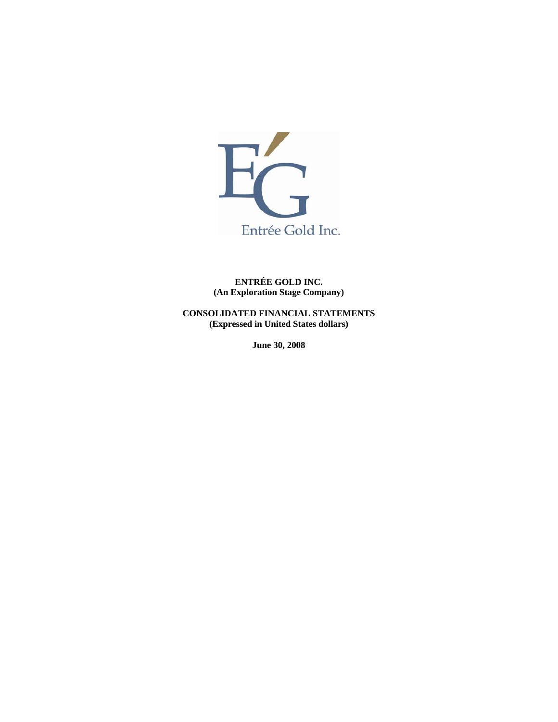

**ENTRÉE GOLD INC. (An Exploration Stage Company)** 

**CONSOLIDATED FINANCIAL STATEMENTS (Expressed in United States dollars)** 

**June 30, 2008**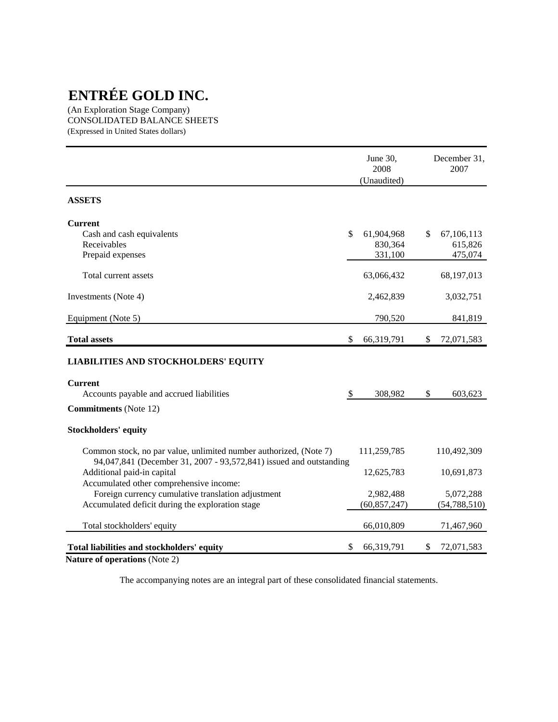(An Exploration Stage Company) CONSOLIDATED BALANCE SHEETS (Expressed in United States dollars)

|                                                                                                  | June 30,<br>2008<br>(Unaudited) | December 31,<br>2007 |
|--------------------------------------------------------------------------------------------------|---------------------------------|----------------------|
| <b>ASSETS</b>                                                                                    |                                 |                      |
| <b>Current</b>                                                                                   |                                 |                      |
| Cash and cash equivalents                                                                        | \$<br>61,904,968                | \$<br>67,106,113     |
| Receivables                                                                                      | 830,364                         | 615,826              |
| Prepaid expenses                                                                                 | 331,100                         | 475,074              |
| Total current assets                                                                             | 63,066,432                      | 68,197,013           |
| Investments (Note 4)                                                                             | 2,462,839                       | 3,032,751            |
| Equipment (Note 5)                                                                               | 790,520                         | 841,819              |
| <b>Total assets</b>                                                                              | \$<br>66,319,791                | \$<br>72,071,583     |
| <b>LIABILITIES AND STOCKHOLDERS' EQUITY</b>                                                      |                                 |                      |
| <b>Current</b>                                                                                   |                                 |                      |
| Accounts payable and accrued liabilities                                                         | \$<br>308,982                   | \$<br>603,623        |
| <b>Commitments</b> (Note 12)                                                                     |                                 |                      |
| <b>Stockholders' equity</b>                                                                      |                                 |                      |
| Common stock, no par value, unlimited number authorized, (Note 7)                                | 111,259,785                     | 110,492,309          |
| 94,047,841 (December 31, 2007 - 93,572,841) issued and outstanding<br>Additional paid-in capital | 12,625,783                      | 10,691,873           |
| Accumulated other comprehensive income:                                                          |                                 |                      |
| Foreign currency cumulative translation adjustment                                               | 2,982,488                       | 5,072,288            |
| Accumulated deficit during the exploration stage                                                 | (60, 857, 247)                  | (54, 788, 510)       |
| Total stockholders' equity                                                                       | 66,010,809                      | 71,467,960           |
| Total liabilities and stockholders' equity                                                       | \$<br>66,319,791                | \$<br>72,071,583     |
|                                                                                                  |                                 |                      |

**Nature of operations** (Note 2)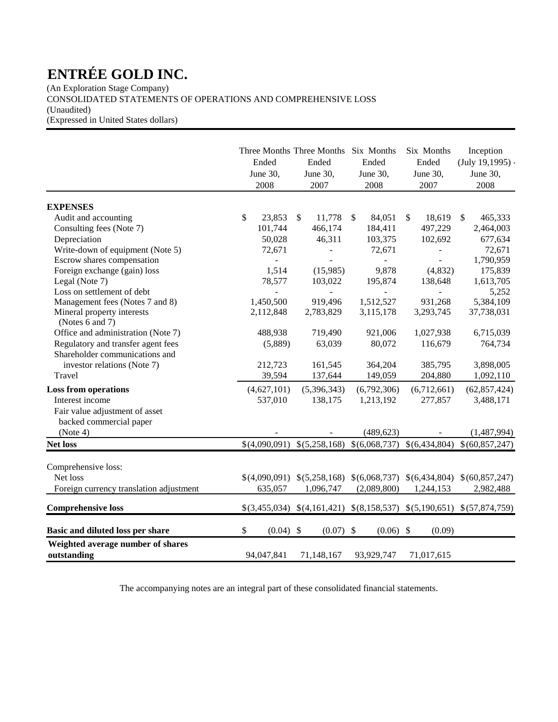(An Exploration Stage Company) CONSOLIDATED STATEMENTS OF OPERATIONS AND COMPREHENSIVE LOSS

(Unaudited)

(Expressed in United States dollars)

|                                                                      | Ended<br>June 30,<br>2008 | Three Months Three Months Six Months<br>Ended<br>June 30,<br>2007 | Ended<br>June 30,<br>2008 | Six Months<br>Ended<br>June 30,<br>2007 | Inception<br>$(July 19, 1995) -$<br>June 30,<br>2008                    |
|----------------------------------------------------------------------|---------------------------|-------------------------------------------------------------------|---------------------------|-----------------------------------------|-------------------------------------------------------------------------|
| <b>EXPENSES</b>                                                      |                           |                                                                   |                           |                                         |                                                                         |
| Audit and accounting                                                 | \$<br>23,853              | 11,778<br>$\mathbb{S}$                                            | \$<br>84,051              | 18,619<br>\$                            | $\frac{1}{2}$<br>465,333                                                |
| Consulting fees (Note 7)                                             | 101,744                   | 466,174                                                           | 184,411                   | 497,229                                 | 2,464,003                                                               |
| Depreciation                                                         | 50,028                    | 46,311                                                            | 103,375                   | 102,692                                 | 677,634                                                                 |
| Write-down of equipment (Note 5)                                     | 72,671                    | $\overline{\phantom{a}}$                                          | 72,671                    |                                         | 72,671                                                                  |
| Escrow shares compensation                                           |                           |                                                                   |                           |                                         | 1,790,959                                                               |
| Foreign exchange (gain) loss                                         | 1,514                     | (15,985)                                                          | 9,878                     | (4, 832)                                | 175,839                                                                 |
| Legal (Note 7)                                                       | 78,577                    | 103,022                                                           | 195,874                   | 138,648                                 | 1,613,705                                                               |
| Loss on settlement of debt                                           |                           |                                                                   |                           |                                         | 5,252                                                                   |
| Management fees (Notes 7 and 8)                                      | 1,450,500                 | 919,496                                                           | 1,512,527                 | 931,268                                 | 5,384,109                                                               |
| Mineral property interests<br>(Notes 6 and 7)                        | 2,112,848                 | 2,783,829                                                         | 3,115,178                 | 3,293,745                               | 37,738,031                                                              |
| Office and administration (Note 7)                                   | 488,938                   | 719,490                                                           | 921,006                   | 1,027,938                               | 6,715,039                                                               |
| Regulatory and transfer agent fees<br>Shareholder communications and | (5,889)                   | 63,039                                                            | 80,072                    | 116,679                                 | 764,734                                                                 |
| investor relations (Note 7)                                          | 212,723                   | 161,545                                                           | 364,204                   | 385,795                                 | 3,898,005                                                               |
| Travel                                                               | 39,594                    | 137,644                                                           | 149,059                   | 204,880                                 | 1,092,110                                                               |
| <b>Loss from operations</b>                                          | (4,627,101)               | (5,396,343)                                                       | (6,792,306)               | (6,712,661)                             | (62, 857, 424)                                                          |
| Interest income                                                      | 537,010                   | 138,175                                                           | 1,213,192                 | 277,857                                 | 3,488,171                                                               |
| Fair value adjustment of asset<br>backed commercial paper            |                           |                                                                   |                           |                                         |                                                                         |
| (Note 4)                                                             |                           |                                                                   | (489, 623)                |                                         | (1,487,994)                                                             |
| <b>Net loss</b>                                                      | \$(4,090,091)             | \$(5,258,168)                                                     | \$(6,068,737)             | \$(6,434,804)                           | \$(60,857,247)                                                          |
| Comprehensive loss:<br>Net loss                                      | \$(4,090,091)<br>635,057  | 1,096,747                                                         | (2,089,800)               | 1,244,153                               | $$(5,258,168) \$(6,068,737) \$(6,434,804) \$(60,857,247)$<br>2,982,488  |
| Foreign currency translation adjustment                              |                           |                                                                   |                           |                                         |                                                                         |
| <b>Comprehensive loss</b>                                            |                           |                                                                   |                           |                                         | $$(3,455,034) \$(4,161,421) \$(8,158,537) \$(5,190,651) \$(57,874,759)$ |
| Basic and diluted loss per share                                     | \$<br>$(0.04)$ \$         | $(0.07)$ \$                                                       | $(0.06)$ \$               | (0.09)                                  |                                                                         |
| Weighted average number of shares<br>outstanding                     | 94,047,841                | 71,148,167                                                        | 93,929,747                | 71,017,615                              |                                                                         |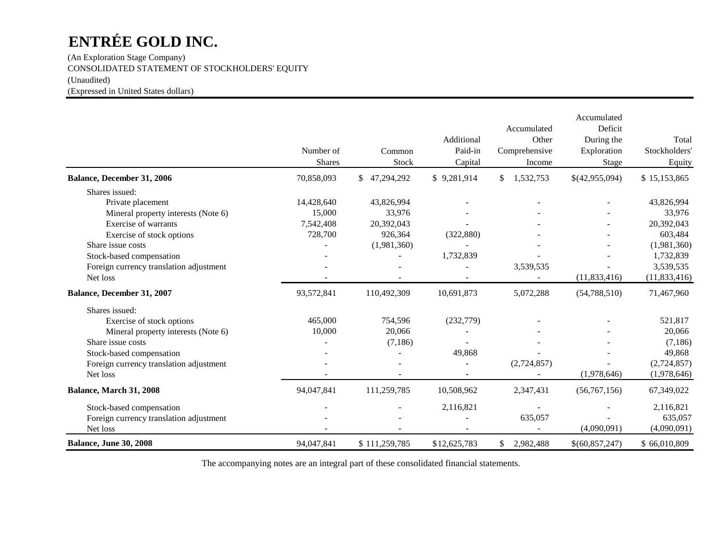(An Exploration Stage Company) CONSOLIDATED STATEMENT OF STOCKHOLDERS' EQUITY (Unaudited) (Expressed in United States dollars)

|                                         | Number of<br><b>Shares</b> | Common<br>Stock  | Additional<br>Paid-in<br>Capital | Accumulated<br>Other<br>Comprehensive<br>Income | Accumulated<br>Deficit<br>During the<br>Exploration<br>Stage | Total<br>Stockholders<br>Equity |
|-----------------------------------------|----------------------------|------------------|----------------------------------|-------------------------------------------------|--------------------------------------------------------------|---------------------------------|
| Balance, December 31, 2006              | 70,858,093                 | 47,294,292<br>\$ | \$9,281,914                      | 1,532,753<br>\$                                 | \$(42,955,094)                                               | \$15,153,865                    |
| Shares issued:                          |                            |                  |                                  |                                                 |                                                              |                                 |
| Private placement                       | 14,428,640                 | 43,826,994       |                                  |                                                 |                                                              | 43,826,994                      |
| Mineral property interests (Note 6)     | 15,000                     | 33,976           |                                  |                                                 |                                                              | 33,976                          |
| Exercise of warrants                    | 7,542,408                  | 20,392,043       |                                  |                                                 |                                                              | 20,392,043                      |
| Exercise of stock options               | 728,700                    | 926,364          | (322, 880)                       |                                                 |                                                              | 603,484                         |
| Share issue costs                       |                            | (1,981,360)      |                                  |                                                 |                                                              | (1,981,360)                     |
| Stock-based compensation                |                            |                  | 1,732,839                        |                                                 |                                                              | 1,732,839                       |
| Foreign currency translation adjustment |                            |                  |                                  | 3,539,535                                       |                                                              | 3,539,535                       |
| Net loss                                |                            |                  |                                  |                                                 | (11, 833, 416)                                               | (11, 833, 416)                  |
| Balance, December 31, 2007              | 93,572,841                 | 110,492,309      | 10,691,873                       | 5,072,288                                       | (54, 788, 510)                                               | 71,467,960                      |
| Shares issued:                          |                            |                  |                                  |                                                 |                                                              |                                 |
| Exercise of stock options               | 465,000                    | 754,596          | (232,779)                        |                                                 |                                                              | 521,817                         |
| Mineral property interests (Note 6)     | 10,000                     | 20,066           |                                  |                                                 |                                                              | 20,066                          |
| Share issue costs                       |                            | (7,186)          |                                  |                                                 |                                                              | (7,186)                         |
| Stock-based compensation                |                            |                  | 49,868                           |                                                 |                                                              | 49,868                          |
| Foreign currency translation adjustment |                            |                  |                                  | (2,724,857)                                     |                                                              | (2,724,857)                     |
| Net loss                                |                            |                  |                                  |                                                 | (1,978,646)                                                  | (1,978,646)                     |
| Balance, March 31, 2008                 | 94,047,841                 | 111,259,785      | 10,508,962                       | 2,347,431                                       | (56, 767, 156)                                               | 67,349,022                      |
| Stock-based compensation                |                            |                  | 2,116,821                        |                                                 |                                                              | 2,116,821                       |
| Foreign currency translation adjustment |                            |                  |                                  | 635,057                                         |                                                              | 635,057                         |
| Net loss                                |                            |                  |                                  |                                                 | (4,090,091)                                                  | (4,090,091)                     |
| <b>Balance, June 30, 2008</b>           | 94,047,841                 | \$111,259,785    | \$12,625,783                     | 2,982,488<br>\$                                 | \$(60,857,247)                                               | \$66,010,809                    |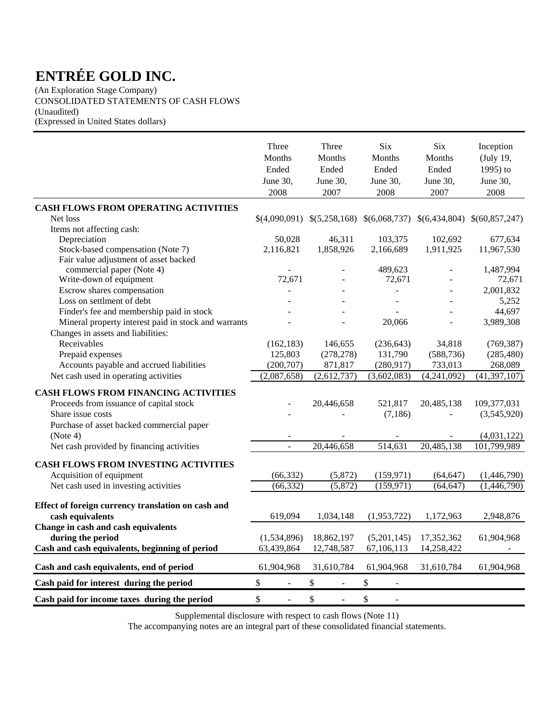(An Exploration Stage Company) CONSOLIDATED STATEMENTS OF CASH FLOWS (Unaudited) (Expressed in United States dollars)

|                                                                                                                                                                                                                   | Three<br>Months<br>Ended<br>June 30,<br>2008 | Three<br>Months<br>Ended<br>June 30,<br>2007 | <b>Six</b><br>Months<br>Ended<br>June 30,<br>2008 | <b>Six</b><br>Months<br>Ended<br>June 30,<br>2007 | Inception<br>(July 19,<br>1995) to<br>June 30,<br>2008   |
|-------------------------------------------------------------------------------------------------------------------------------------------------------------------------------------------------------------------|----------------------------------------------|----------------------------------------------|---------------------------------------------------|---------------------------------------------------|----------------------------------------------------------|
| <b>CASH FLOWS FROM OPERATING ACTIVITIES</b>                                                                                                                                                                       |                                              |                                              |                                                   |                                                   |                                                          |
| Net loss                                                                                                                                                                                                          |                                              | $$(4,090,091) \$(5,258,168) \$(6,068,737)$   |                                                   |                                                   | $$(6,434,804) \$(60,857,247)$                            |
| Items not affecting cash:                                                                                                                                                                                         |                                              |                                              |                                                   |                                                   |                                                          |
| Depreciation                                                                                                                                                                                                      | 50,028                                       | 46,311                                       | 103,375                                           | 102,692                                           | 677,634                                                  |
| Stock-based compensation (Note 7)                                                                                                                                                                                 | 2,116,821                                    | 1,858,926                                    | 2,166,689                                         | 1,911,925                                         | 11,967,530                                               |
| Fair value adjustment of asset backed                                                                                                                                                                             |                                              |                                              |                                                   |                                                   |                                                          |
| commercial paper (Note 4)                                                                                                                                                                                         |                                              |                                              | 489,623                                           |                                                   | 1,487,994                                                |
| Write-down of equipment                                                                                                                                                                                           | 72.671                                       |                                              | 72,671                                            |                                                   | 72,671                                                   |
| Escrow shares compensation                                                                                                                                                                                        | $\overline{a}$                               |                                              | ÷,                                                | ÷,                                                | 2,001,832                                                |
| Loss on settlment of debt                                                                                                                                                                                         |                                              |                                              | $\overline{a}$                                    |                                                   | 5,252                                                    |
| Finder's fee and membership paid in stock                                                                                                                                                                         |                                              |                                              |                                                   |                                                   | 44,697                                                   |
| Mineral property interest paid in stock and warrants<br>Changes in assets and liabilities:                                                                                                                        |                                              |                                              | 20,066                                            |                                                   | 3,989,308                                                |
| Receivables                                                                                                                                                                                                       | (162, 183)                                   | 146,655                                      | (236, 643)                                        | 34,818                                            | (769, 387)                                               |
| Prepaid expenses                                                                                                                                                                                                  | 125,803                                      | (278, 278)                                   | 131,790                                           | (588, 736)                                        | (285, 480)                                               |
| Accounts payable and accrued liabilities                                                                                                                                                                          | (200, 707)                                   | 871,817                                      | (280, 917)                                        | 733,013                                           | 268,089                                                  |
| Net cash used in operating activities                                                                                                                                                                             | (2,087,658)                                  | (2,612,737)                                  | (3,602,083)                                       | (4,241,092)                                       | (41, 397, 107)                                           |
| <b>CASH FLOWS FROM FINANCING ACTIVITIES</b><br>Proceeds from issuance of capital stock<br>Share issue costs<br>Purchase of asset backed commercial paper<br>(Note 4)<br>Net cash provided by financing activities | $\overline{\phantom{a}}$                     | 20,446,658<br>20,446,658                     | 521,817<br>(7, 186)<br>514,631                    | 20,485,138<br>20,485,138                          | 109,377,031<br>(3,545,920)<br>(4,031,122)<br>101,799,989 |
|                                                                                                                                                                                                                   |                                              |                                              |                                                   |                                                   |                                                          |
| <b>CASH FLOWS FROM INVESTING ACTIVITIES</b>                                                                                                                                                                       |                                              |                                              |                                                   |                                                   |                                                          |
| Acquisition of equipment                                                                                                                                                                                          | (66, 332)                                    | (5,872)                                      | (159, 971)                                        | (64, 647)                                         | (1,446,790)                                              |
| Net cash used in investing activities                                                                                                                                                                             | (66, 332)                                    | (5,872)                                      | (159, 971)                                        | (64, 647)                                         | (1,446,790)                                              |
| Effect of foreign currency translation on cash and<br>cash equivalents                                                                                                                                            | 619,094                                      | 1,034,148                                    | (1,953,722)                                       | 1,172,963                                         | 2,948,876                                                |
| Change in cash and cash equivalents<br>during the period<br>Cash and cash equivalents, beginning of period                                                                                                        | (1,534,896)<br>63,439,864                    | 18,862,197<br>12,748,587                     | (5,201,145)<br>67,106,113                         | 17,352,362<br>14,258,422                          | 61,904,968                                               |
| Cash and cash equivalents, end of period                                                                                                                                                                          | 61,904,968                                   | 31,610,784                                   | 61,904,968                                        | 31,610,784                                        | 61,904,968                                               |
| Cash paid for interest during the period                                                                                                                                                                          | \$                                           | \$                                           | \$                                                |                                                   |                                                          |
| Cash paid for income taxes during the period                                                                                                                                                                      | \$<br>$\blacksquare$                         | $\$$<br>$\bar{\phantom{a}}$                  | $\$\,$                                            |                                                   |                                                          |

Supplemental disclosure with respect to cash flows (Note 11)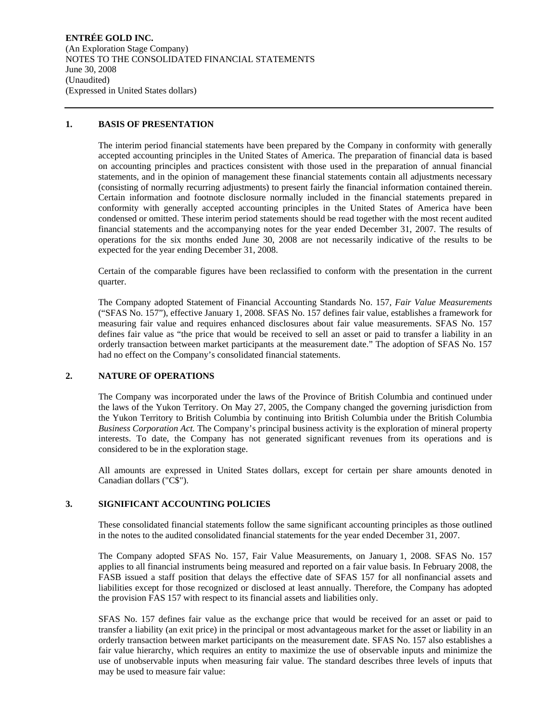**ENTRÉE GOLD INC.**  (An Exploration Stage Company) NOTES TO THE CONSOLIDATED FINANCIAL STATEMENTS June 30, 2008 (Unaudited) (Expressed in United States dollars)

#### **1. BASIS OF PRESENTATION**

The interim period financial statements have been prepared by the Company in conformity with generally accepted accounting principles in the United States of America. The preparation of financial data is based on accounting principles and practices consistent with those used in the preparation of annual financial statements, and in the opinion of management these financial statements contain all adjustments necessary (consisting of normally recurring adjustments) to present fairly the financial information contained therein. Certain information and footnote disclosure normally included in the financial statements prepared in conformity with generally accepted accounting principles in the United States of America have been condensed or omitted. These interim period statements should be read together with the most recent audited financial statements and the accompanying notes for the year ended December 31, 2007. The results of operations for the six months ended June 30, 2008 are not necessarily indicative of the results to be expected for the year ending December 31, 2008.

Certain of the comparable figures have been reclassified to conform with the presentation in the current quarter.

The Company adopted Statement of Financial Accounting Standards No. 157, *Fair Value Measurements* ("SFAS No. 157"), effective January 1, 2008. SFAS No. 157 defines fair value, establishes a framework for measuring fair value and requires enhanced disclosures about fair value measurements. SFAS No. 157 defines fair value as "the price that would be received to sell an asset or paid to transfer a liability in an orderly transaction between market participants at the measurement date." The adoption of SFAS No. 157 had no effect on the Company's consolidated financial statements.

## **2. NATURE OF OPERATIONS**

The Company was incorporated under the laws of the Province of British Columbia and continued under the laws of the Yukon Territory. On May 27, 2005, the Company changed the governing jurisdiction from the Yukon Territory to British Columbia by continuing into British Columbia under the British Columbia *Business Corporation Act.* The Company's principal business activity is the exploration of mineral property interests. To date, the Company has not generated significant revenues from its operations and is considered to be in the exploration stage.

All amounts are expressed in United States dollars, except for certain per share amounts denoted in Canadian dollars ("C\$").

## **3. SIGNIFICANT ACCOUNTING POLICIES**

These consolidated financial statements follow the same significant accounting principles as those outlined in the notes to the audited consolidated financial statements for the year ended December 31, 2007.

The Company adopted SFAS No. 157, Fair Value Measurements, on January 1, 2008. SFAS No. 157 applies to all financial instruments being measured and reported on a fair value basis. In February 2008, the FASB issued a staff position that delays the effective date of SFAS 157 for all nonfinancial assets and liabilities except for those recognized or disclosed at least annually. Therefore, the Company has adopted the provision FAS 157 with respect to its financial assets and liabilities only.

SFAS No. 157 defines fair value as the exchange price that would be received for an asset or paid to transfer a liability (an exit price) in the principal or most advantageous market for the asset or liability in an orderly transaction between market participants on the measurement date. SFAS No. 157 also establishes a fair value hierarchy, which requires an entity to maximize the use of observable inputs and minimize the use of unobservable inputs when measuring fair value. The standard describes three levels of inputs that may be used to measure fair value: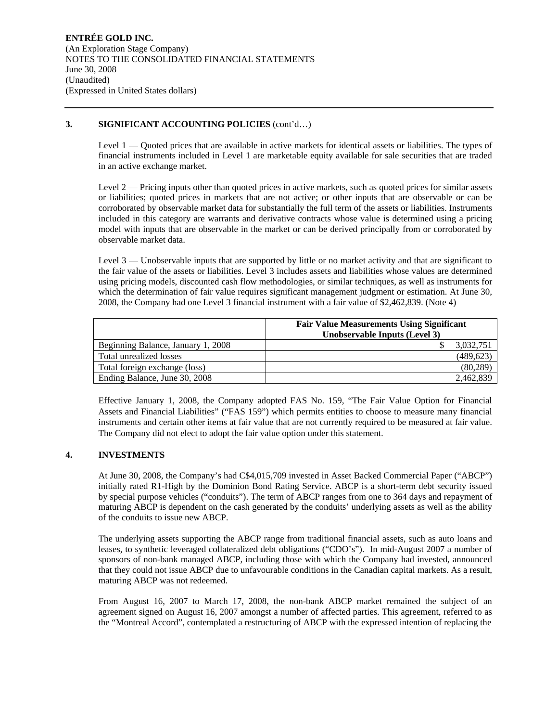#### **3. SIGNIFICANT ACCOUNTING POLICIES** (cont'd…)

Level 1 — Quoted prices that are available in active markets for identical assets or liabilities. The types of financial instruments included in Level 1 are marketable equity available for sale securities that are traded in an active exchange market.

Level 2 — Pricing inputs other than quoted prices in active markets, such as quoted prices for similar assets or liabilities; quoted prices in markets that are not active; or other inputs that are observable or can be corroborated by observable market data for substantially the full term of the assets or liabilities. Instruments included in this category are warrants and derivative contracts whose value is determined using a pricing model with inputs that are observable in the market or can be derived principally from or corroborated by observable market data.

Level 3 — Unobservable inputs that are supported by little or no market activity and that are significant to the fair value of the assets or liabilities. Level 3 includes assets and liabilities whose values are determined using pricing models, discounted cash flow methodologies, or similar techniques, as well as instruments for which the determination of fair value requires significant management judgment or estimation. At June 30, 2008, the Company had one Level 3 financial instrument with a fair value of \$2,462,839. (Note 4)

|                                    | <b>Fair Value Measurements Using Significant</b><br>Unobservable Inputs (Level 3) |
|------------------------------------|-----------------------------------------------------------------------------------|
| Beginning Balance, January 1, 2008 | 3,032,751                                                                         |
| Total unrealized losses            | (489, 623)                                                                        |
| Total foreign exchange (loss)      | (80, 289)                                                                         |
| Ending Balance, June 30, 2008      | 2,462,839                                                                         |

Effective January 1, 2008, the Company adopted FAS No. 159, "The Fair Value Option for Financial Assets and Financial Liabilities" ("FAS 159") which permits entities to choose to measure many financial instruments and certain other items at fair value that are not currently required to be measured at fair value. The Company did not elect to adopt the fair value option under this statement.

## **4. INVESTMENTS**

At June 30, 2008, the Company's had C\$4,015,709 invested in Asset Backed Commercial Paper ("ABCP") initially rated R1-High by the Dominion Bond Rating Service. ABCP is a short-term debt security issued by special purpose vehicles ("conduits"). The term of ABCP ranges from one to 364 days and repayment of maturing ABCP is dependent on the cash generated by the conduits' underlying assets as well as the ability of the conduits to issue new ABCP.

The underlying assets supporting the ABCP range from traditional financial assets, such as auto loans and leases, to synthetic leveraged collateralized debt obligations ("CDO's"). In mid-August 2007 a number of sponsors of non-bank managed ABCP, including those with which the Company had invested, announced that they could not issue ABCP due to unfavourable conditions in the Canadian capital markets. As a result, maturing ABCP was not redeemed.

From August 16, 2007 to March 17, 2008, the non-bank ABCP market remained the subject of an agreement signed on August 16, 2007 amongst a number of affected parties. This agreement, referred to as the "Montreal Accord", contemplated a restructuring of ABCP with the expressed intention of replacing the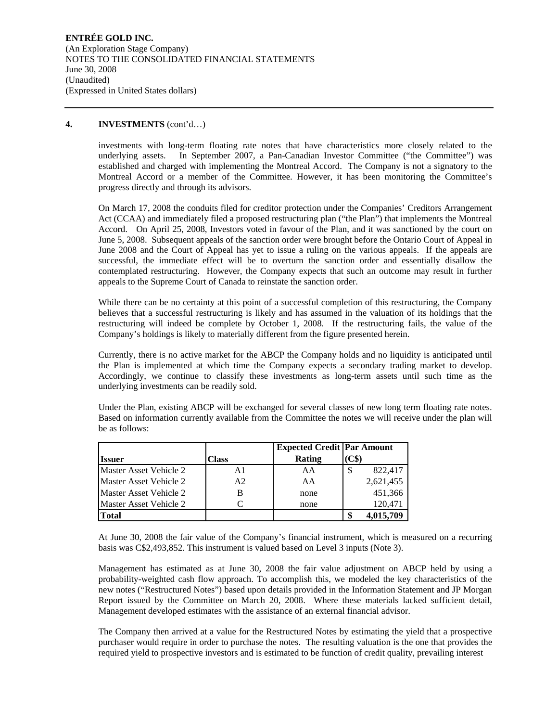#### **4. INVESTMENTS** (cont'd…)

investments with long-term floating rate notes that have characteristics more closely related to the underlying assets. In September 2007, a Pan-Canadian Investor Committee ("the Committee") was established and charged with implementing the Montreal Accord. The Company is not a signatory to the Montreal Accord or a member of the Committee. However, it has been monitoring the Committee's progress directly and through its advisors.

On March 17, 2008 the conduits filed for creditor protection under the Companies' Creditors Arrangement Act (CCAA) and immediately filed a proposed restructuring plan ("the Plan") that implements the Montreal Accord. On April 25, 2008, Investors voted in favour of the Plan, and it was sanctioned by the court on June 5, 2008. Subsequent appeals of the sanction order were brought before the Ontario Court of Appeal in June 2008 and the Court of Appeal has yet to issue a ruling on the various appeals. If the appeals are successful, the immediate effect will be to overturn the sanction order and essentially disallow the contemplated restructuring. However, the Company expects that such an outcome may result in further appeals to the Supreme Court of Canada to reinstate the sanction order.

While there can be no certainty at this point of a successful completion of this restructuring, the Company believes that a successful restructuring is likely and has assumed in the valuation of its holdings that the restructuring will indeed be complete by October 1, 2008. If the restructuring fails, the value of the Company's holdings is likely to materially different from the figure presented herein.

Currently, there is no active market for the ABCP the Company holds and no liquidity is anticipated until the Plan is implemented at which time the Company expects a secondary trading market to develop. Accordingly, we continue to classify these investments as long-term assets until such time as the underlying investments can be readily sold.

Under the Plan, existing ABCP will be exchanged for several classes of new long term floating rate notes. Based on information currently available from the Committee the notes we will receive under the plan will be as follows:

|                        |                | <b>Expected Credit   Par Amount</b> |              |
|------------------------|----------------|-------------------------------------|--------------|
| Issuer                 | Class          | Rating                              | (C\$)        |
| Master Asset Vehicle 2 | A1             | AA                                  | 822,417<br>S |
| Master Asset Vehicle 2 | A <sub>2</sub> | AA                                  | 2,621,455    |
| Master Asset Vehicle 2 | В              | none                                | 451,366      |
| Master Asset Vehicle 2 |                | none                                | 120,471      |
| <b>Total</b>           |                |                                     | 4,015,709    |

At June 30, 2008 the fair value of the Company's financial instrument, which is measured on a recurring basis was C\$2,493,852. This instrument is valued based on Level 3 inputs (Note 3).

Management has estimated as at June 30, 2008 the fair value adjustment on ABCP held by using a probability-weighted cash flow approach. To accomplish this, we modeled the key characteristics of the new notes ("Restructured Notes") based upon details provided in the Information Statement and JP Morgan Report issued by the Committee on March 20, 2008. Where these materials lacked sufficient detail, Management developed estimates with the assistance of an external financial advisor.

The Company then arrived at a value for the Restructured Notes by estimating the yield that a prospective purchaser would require in order to purchase the notes. The resulting valuation is the one that provides the required yield to prospective investors and is estimated to be function of credit quality, prevailing interest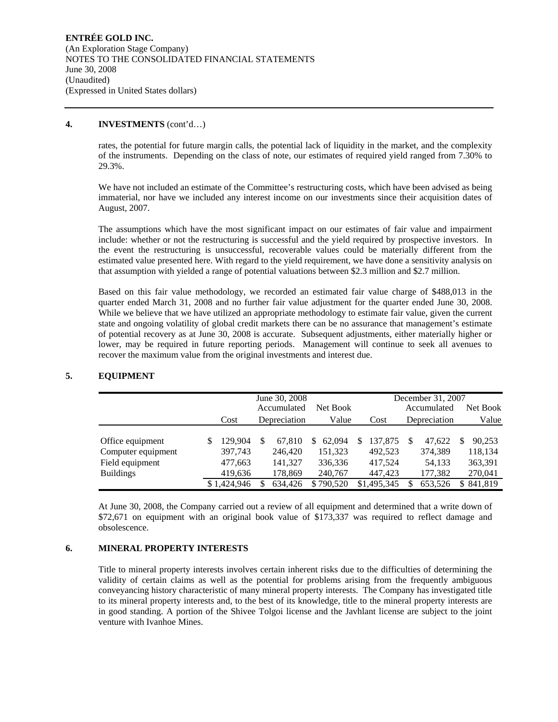#### **4. INVESTMENTS** (cont'd…)

rates, the potential for future margin calls, the potential lack of liquidity in the market, and the complexity of the instruments. Depending on the class of note, our estimates of required yield ranged from 7.30% to 29.3%.

We have not included an estimate of the Committee's restructuring costs, which have been advised as being immaterial, nor have we included any interest income on our investments since their acquisition dates of August, 2007.

The assumptions which have the most significant impact on our estimates of fair value and impairment include: whether or not the restructuring is successful and the yield required by prospective investors. In the event the restructuring is unsuccessful, recoverable values could be materially different from the estimated value presented here. With regard to the yield requirement, we have done a sensitivity analysis on that assumption with yielded a range of potential valuations between \$2.3 million and \$2.7 million.

Based on this fair value methodology, we recorded an estimated fair value charge of \$488,013 in the quarter ended March 31, 2008 and no further fair value adjustment for the quarter ended June 30, 2008. While we believe that we have utilized an appropriate methodology to estimate fair value, given the current state and ongoing volatility of global credit markets there can be no assurance that management's estimate of potential recovery as at June 30, 2008 is accurate. Subsequent adjustments, either materially higher or lower, may be required in future reporting periods. Management will continue to seek all avenues to recover the maximum value from the original investments and interest due.

|                                                                               |   | June 30, 2008<br>Accumulated             |   |                                         | Net Book                                     |   |                                          |  | December 31, 2007<br>Accumulated       |    | Net Book                                |
|-------------------------------------------------------------------------------|---|------------------------------------------|---|-----------------------------------------|----------------------------------------------|---|------------------------------------------|--|----------------------------------------|----|-----------------------------------------|
|                                                                               |   | Cost                                     |   | Depreciation                            | Value                                        |   | Cost                                     |  | Depreciation                           |    | Value                                   |
| Office equipment<br>Computer equipment<br>Field equipment<br><b>Buildings</b> | S | 129,904<br>397,743<br>477,663<br>419,636 | S | 67.810<br>246,420<br>141.327<br>178,869 | 62.094<br>S<br>151,323<br>336,336<br>240,767 | S | 137,875<br>492.523<br>417.524<br>447,423 |  | 47.622<br>374,389<br>54,133<br>177,382 | S  | 90,253<br>118,134<br>363,391<br>270,041 |
|                                                                               |   | \$1,424,946                              |   | 634.426                                 | \$790,520                                    |   | \$1,495,345                              |  | 653,526                                | S. | 841,819                                 |

## **5. EQUIPMENT**

At June 30, 2008, the Company carried out a review of all equipment and determined that a write down of \$72,671 on equipment with an original book value of \$173,337 was required to reflect damage and obsolescence.

## **6. MINERAL PROPERTY INTERESTS**

Title to mineral property interests involves certain inherent risks due to the difficulties of determining the validity of certain claims as well as the potential for problems arising from the frequently ambiguous conveyancing history characteristic of many mineral property interests. The Company has investigated title to its mineral property interests and, to the best of its knowledge, title to the mineral property interests are in good standing. A portion of the Shivee Tolgoi license and the Javhlant license are subject to the joint venture with Ivanhoe Mines.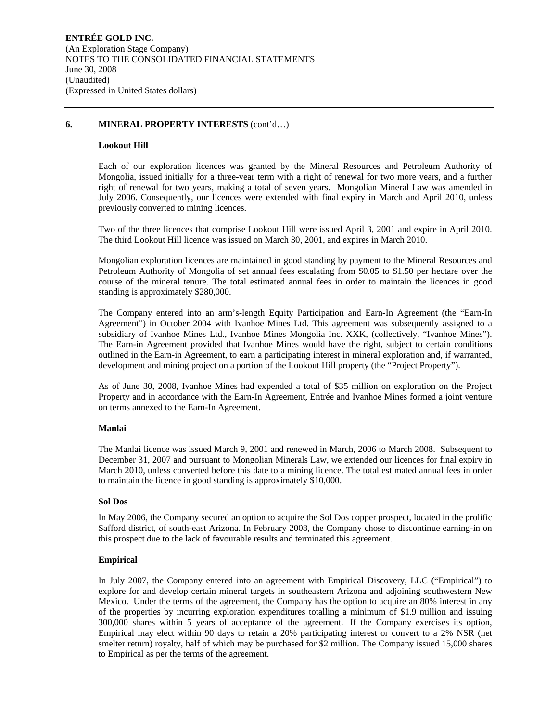#### **Lookout Hill**

Each of our exploration licences was granted by the Mineral Resources and Petroleum Authority of Mongolia, issued initially for a three-year term with a right of renewal for two more years, and a further right of renewal for two years, making a total of seven years. Mongolian Mineral Law was amended in July 2006. Consequently, our licences were extended with final expiry in March and April 2010, unless previously converted to mining licences.

Two of the three licences that comprise Lookout Hill were issued April 3, 2001 and expire in April 2010. The third Lookout Hill licence was issued on March 30, 2001, and expires in March 2010.

Mongolian exploration licences are maintained in good standing by payment to the Mineral Resources and Petroleum Authority of Mongolia of set annual fees escalating from \$0.05 to \$1.50 per hectare over the course of the mineral tenure. The total estimated annual fees in order to maintain the licences in good standing is approximately \$280,000.

The Company entered into an arm's-length Equity Participation and Earn-In Agreement (the "Earn-In Agreement") in October 2004 with Ivanhoe Mines Ltd. This agreement was subsequently assigned to a subsidiary of Ivanhoe Mines Ltd., Ivanhoe Mines Mongolia Inc. XXK, (collectively, "Ivanhoe Mines"). The Earn-in Agreement provided that Ivanhoe Mines would have the right, subject to certain conditions outlined in the Earn-in Agreement, to earn a participating interest in mineral exploration and, if warranted, development and mining project on a portion of the Lookout Hill property (the "Project Property").

As of June 30, 2008, Ivanhoe Mines had expended a total of \$35 million on exploration on the Project Property and in accordance with the Earn-In Agreement, Entrée and Ivanhoe Mines formed a joint venture on terms annexed to the Earn-In Agreement.

#### **Manlai**

The Manlai licence was issued March 9, 2001 and renewed in March, 2006 to March 2008. Subsequent to December 31, 2007 and pursuant to Mongolian Minerals Law, we extended our licences for final expiry in March 2010, unless converted before this date to a mining licence. The total estimated annual fees in order to maintain the licence in good standing is approximately \$10,000.

#### **Sol Dos**

In May 2006, the Company secured an option to acquire the Sol Dos copper prospect, located in the prolific Safford district, of south-east Arizona. In February 2008, the Company chose to discontinue earning-in on this prospect due to the lack of favourable results and terminated this agreement.

#### **Empirical**

In July 2007, the Company entered into an agreement with Empirical Discovery, LLC ("Empirical") to explore for and develop certain mineral targets in southeastern Arizona and adjoining southwestern New Mexico. Under the terms of the agreement, the Company has the option to acquire an 80% interest in any of the properties by incurring exploration expenditures totalling a minimum of \$1.9 million and issuing 300,000 shares within 5 years of acceptance of the agreement. If the Company exercises its option, Empirical may elect within 90 days to retain a 20% participating interest or convert to a 2% NSR (net smelter return) royalty, half of which may be purchased for \$2 million. The Company issued 15,000 shares to Empirical as per the terms of the agreement.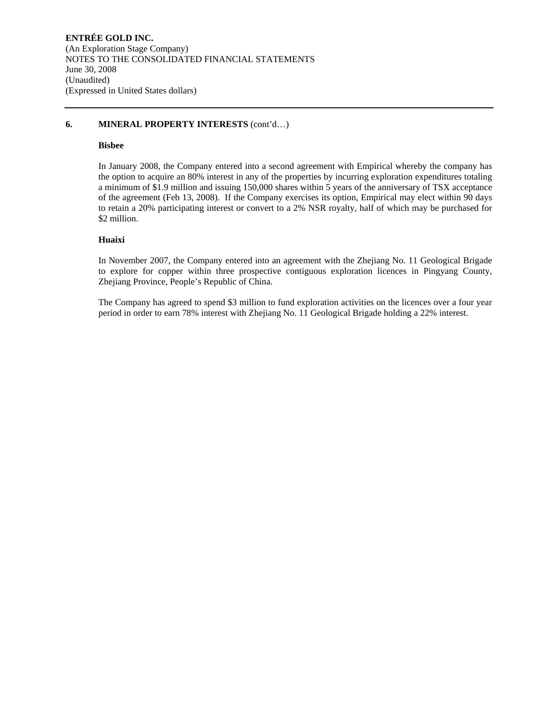## **Bisbee**

In January 2008, the Company entered into a second agreement with Empirical whereby the company has the option to acquire an 80% interest in any of the properties by incurring exploration expenditures totaling a minimum of \$1.9 million and issuing 150,000 shares within 5 years of the anniversary of TSX acceptance of the agreement (Feb 13, 2008). If the Company exercises its option, Empirical may elect within 90 days to retain a 20% participating interest or convert to a 2% NSR royalty, half of which may be purchased for \$2 million.

#### **Huaixi**

In November 2007, the Company entered into an agreement with the Zhejiang No. 11 Geological Brigade to explore for copper within three prospective contiguous exploration licences in Pingyang County, Zhejiang Province, People's Republic of China.

The Company has agreed to spend \$3 million to fund exploration activities on the licences over a four year period in order to earn 78% interest with Zhejiang No. 11 Geological Brigade holding a 22% interest.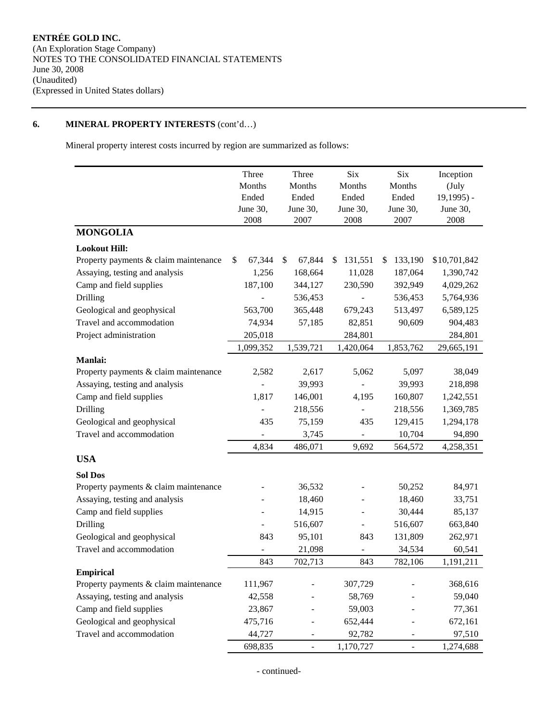Mineral property interest costs incurred by region are summarized as follows:

|                                       | Three          | Three        | Six                      | Six           | Inception     |
|---------------------------------------|----------------|--------------|--------------------------|---------------|---------------|
|                                       | Months         | Months       | Months                   | Months        | (July         |
|                                       | Ended          | Ended        | Ended                    | Ended         | $19,1995$ ) - |
|                                       | June 30,       | June 30,     | June 30,                 | June 30,      | June 30,      |
| <b>MONGOLIA</b>                       | 2008           | 2007         | 2008                     | 2007          | 2008          |
|                                       |                |              |                          |               |               |
| <b>Lookout Hill:</b>                  |                |              |                          |               |               |
| Property payments & claim maintenance | 67,344<br>\$   | \$<br>67,844 | 131,551<br>\$            | 133,190<br>\$ | \$10,701,842  |
| Assaying, testing and analysis        | 1,256          | 168,664      | 11,028                   | 187,064       | 1,390,742     |
| Camp and field supplies               | 187,100        | 344,127      | 230,590                  | 392,949       | 4,029,262     |
| Drilling                              |                | 536,453      |                          | 536,453       | 5,764,936     |
| Geological and geophysical            | 563,700        | 365,448      | 679,243                  | 513,497       | 6,589,125     |
| Travel and accommodation              | 74,934         | 57,185       | 82,851                   | 90,609        | 904,483       |
| Project administration                | 205,018        |              | 284,801                  |               | 284,801       |
|                                       | 1,099,352      | 1,539,721    | 1,420,064                | 1,853,762     | 29,665,191    |
| <b>Manlai:</b>                        |                |              |                          |               |               |
| Property payments & claim maintenance | 2,582          | 2,617        | 5,062                    | 5,097         | 38,049        |
| Assaying, testing and analysis        |                | 39,993       |                          | 39,993        | 218,898       |
| Camp and field supplies               | 1,817          | 146,001      | 4,195                    | 160,807       | 1,242,551     |
| Drilling                              | $\overline{a}$ | 218,556      |                          | 218,556       | 1,369,785     |
| Geological and geophysical            | 435            | 75,159       | 435                      | 129,415       | 1,294,178     |
| Travel and accommodation              | $\overline{a}$ | 3,745        | $\overline{\phantom{a}}$ | 10,704        | 94,890        |
|                                       | 4,834          | 486,071      | 9,692                    | 564,572       | 4,258,351     |
| <b>USA</b>                            |                |              |                          |               |               |
| <b>Sol Dos</b>                        |                |              |                          |               |               |
| Property payments & claim maintenance |                | 36,532       |                          | 50,252        | 84,971        |
| Assaying, testing and analysis        |                | 18,460       |                          | 18,460        | 33,751        |
| Camp and field supplies               |                | 14,915       |                          | 30,444        | 85,137        |
| Drilling                              |                | 516,607      | $\frac{1}{2}$            | 516,607       | 663,840       |
| Geological and geophysical            | 843            | 95,101       | 843                      | 131,809       | 262,971       |
| Travel and accommodation              | $\overline{a}$ | 21,098       | $\overline{\phantom{m}}$ | 34,534        | 60,541        |
|                                       | 843            | 702,713      | 843                      | 782,106       | 1,191,211     |
| <b>Empirical</b>                      |                |              |                          |               |               |
| Property payments & claim maintenance | 111,967        |              | 307,729                  |               | 368,616       |
| Assaying, testing and analysis        | 42,558         |              | 58,769                   |               | 59,040        |
| Camp and field supplies               | 23,867         |              | 59,003                   |               | 77,361        |
| Geological and geophysical            | 475,716        |              | 652,444                  |               | 672,161       |
| Travel and accommodation              | 44,727         |              | 92,782                   |               | 97,510        |
|                                       | 698,835        | -            | 1,170,727                | -             | 1,274,688     |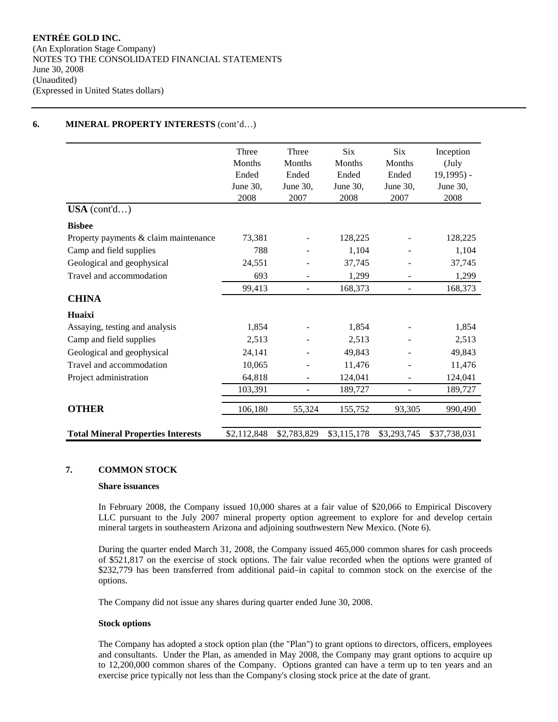|                                           | Three       | Three                    | Six         | Six            | Inception     |
|-------------------------------------------|-------------|--------------------------|-------------|----------------|---------------|
|                                           | Months      | Months                   | Months      | Months         | (July         |
|                                           | Ended       | Ended                    | Ended       | Ended          | $19,1995$ ) - |
|                                           | June 30,    | June 30,                 | June 30,    | June 30,       | June 30,      |
|                                           | 2008        | 2007                     | 2008        | 2007           | 2008          |
| USA (cont'd)                              |             |                          |             |                |               |
| <b>Bisbee</b>                             |             |                          |             |                |               |
| Property payments & claim maintenance     | 73,381      |                          | 128,225     |                | 128,225       |
| Camp and field supplies                   | 788         |                          | 1,104       |                | 1,104         |
| Geological and geophysical                | 24,551      |                          | 37,745      |                | 37,745        |
| Travel and accommodation                  | 693         |                          | 1,299       |                | 1,299         |
|                                           | 99,413      | $\overline{\phantom{a}}$ | 168,373     | $\blacksquare$ | 168,373       |
| <b>CHINA</b>                              |             |                          |             |                |               |
| Huaixi                                    |             |                          |             |                |               |
| Assaying, testing and analysis            | 1,854       |                          | 1,854       |                | 1,854         |
| Camp and field supplies                   | 2,513       |                          | 2,513       |                | 2,513         |
| Geological and geophysical                | 24,141      |                          | 49,843      |                | 49,843        |
| Travel and accommodation                  | 10,065      | $\overline{\phantom{a}}$ | 11,476      |                | 11,476        |
| Project administration                    | 64,818      | $\overline{\phantom{a}}$ | 124,041     |                | 124,041       |
|                                           | 103,391     | ÷,                       | 189,727     |                | 189,727       |
| <b>OTHER</b>                              | 106,180     | 55,324                   | 155,752     | 93,305         | 990,490       |
| <b>Total Mineral Properties Interests</b> | \$2,112,848 | \$2,783,829              | \$3,115,178 | \$3,293,745    | \$37,738,031  |

## **7. COMMON STOCK**

#### **Share issuances**

In February 2008, the Company issued 10,000 shares at a fair value of \$20,066 to Empirical Discovery LLC pursuant to the July 2007 mineral property option agreement to explore for and develop certain mineral targets in southeastern Arizona and adjoining southwestern New Mexico. (Note 6).

During the quarter ended March 31, 2008, the Company issued 465,000 common shares for cash proceeds of \$521,817 on the exercise of stock options. The fair value recorded when the options were granted of \$232,779 has been transferred from additional paid–in capital to common stock on the exercise of the options.

The Company did not issue any shares during quarter ended June 30, 2008.

#### **Stock options**

The Company has adopted a stock option plan (the "Plan") to grant options to directors, officers, employees and consultants. Under the Plan, as amended in May 2008, the Company may grant options to acquire up to 12,200,000 common shares of the Company. Options granted can have a term up to ten years and an exercise price typically not less than the Company's closing stock price at the date of grant.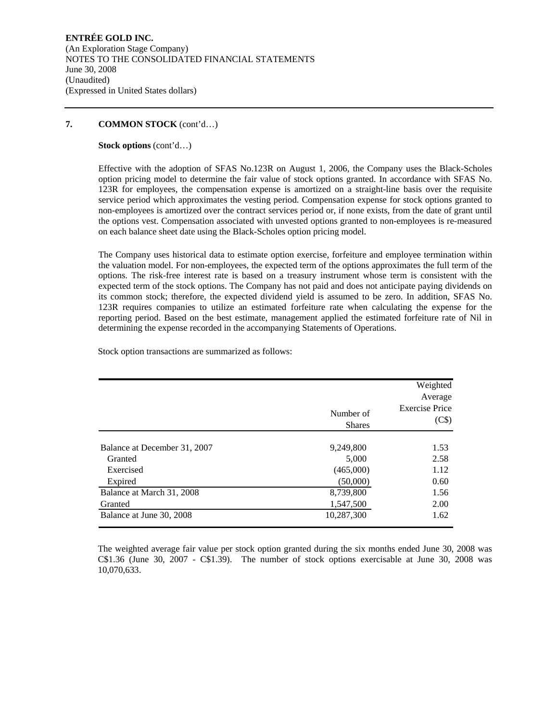## **7. COMMON STOCK** (cont'd…)

**Stock options** (cont'd…)

Effective with the adoption of SFAS No.123R on August 1, 2006, the Company uses the Black-Scholes option pricing model to determine the fair value of stock options granted. In accordance with SFAS No. 123R for employees, the compensation expense is amortized on a straight-line basis over the requisite service period which approximates the vesting period. Compensation expense for stock options granted to non-employees is amortized over the contract services period or, if none exists, from the date of grant until the options vest. Compensation associated with unvested options granted to non-employees is re-measured on each balance sheet date using the Black-Scholes option pricing model.

The Company uses historical data to estimate option exercise, forfeiture and employee termination within the valuation model. For non-employees, the expected term of the options approximates the full term of the options. The risk-free interest rate is based on a treasury instrument whose term is consistent with the expected term of the stock options. The Company has not paid and does not anticipate paying dividends on its common stock; therefore, the expected dividend yield is assumed to be zero. In addition, SFAS No. 123R requires companies to utilize an estimated forfeiture rate when calculating the expense for the reporting period. Based on the best estimate, management applied the estimated forfeiture rate of Nil in determining the expense recorded in the accompanying Statements of Operations.

Stock option transactions are summarized as follows:

|                              | Number of<br><b>Shares</b> | Weighted<br>Average<br><b>Exercise Price</b><br>(C\$) |
|------------------------------|----------------------------|-------------------------------------------------------|
| Balance at December 31, 2007 | 9,249,800                  | 1.53                                                  |
| Granted                      | 5,000                      | 2.58                                                  |
| Exercised                    | (465,000)                  | 1.12                                                  |
| Expired                      | (50,000)                   | 0.60                                                  |
| Balance at March 31, 2008    | 8,739,800                  | 1.56                                                  |
| Granted                      | 1,547,500                  | 2.00                                                  |
| Balance at June 30, 2008     | 10,287,300                 | 1.62                                                  |

The weighted average fair value per stock option granted during the six months ended June 30, 2008 was C\$1.36 (June 30, 2007 - C\$1.39). The number of stock options exercisable at June 30, 2008 was 10,070,633.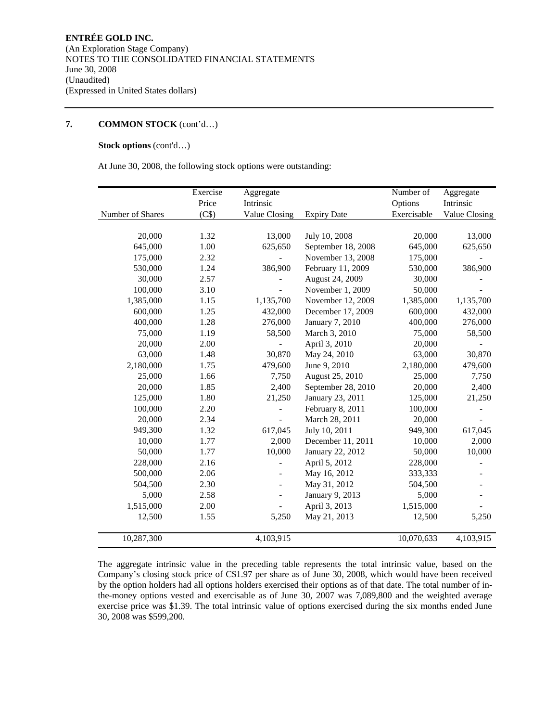#### **7. COMMON STOCK** (cont'd…)

## **Stock options** (cont'd…)

At June 30, 2008, the following stock options were outstanding:

|                  | Exercise | Aggregate                |                    | Number of   | Aggregate     |
|------------------|----------|--------------------------|--------------------|-------------|---------------|
|                  | Price    | Intrinsic                |                    | Options     | Intrinsic     |
| Number of Shares | (C\$)    | Value Closing            | <b>Expiry Date</b> | Exercisable | Value Closing |
|                  |          |                          |                    |             |               |
| 20,000           | 1.32     | 13,000                   | July 10, 2008      | 20,000      | 13,000        |
| 645,000          | 1.00     | 625,650                  | September 18, 2008 | 645,000     | 625,650       |
| 175,000          | 2.32     |                          | November 13, 2008  | 175,000     |               |
| 530,000          | 1.24     | 386,900                  | February 11, 2009  | 530,000     | 386,900       |
| 30,000           | 2.57     |                          | August 24, 2009    | 30,000      |               |
| 100,000          | 3.10     |                          | November 1, 2009   | 50,000      |               |
| 1,385,000        | 1.15     | 1,135,700                | November 12, 2009  | 1,385,000   | 1,135,700     |
| 600,000          | 1.25     | 432,000                  | December 17, 2009  | 600,000     | 432,000       |
| 400,000          | 1.28     | 276,000                  | January 7, 2010    | 400,000     | 276,000       |
| 75,000           | 1.19     | 58,500                   | March 3, 2010      | 75,000      | 58,500        |
| 20,000           | 2.00     |                          | April 3, 2010      | 20,000      |               |
| 63,000           | 1.48     | 30,870                   | May 24, 2010       | 63,000      | 30,870        |
| 2,180,000        | 1.75     | 479,600                  | June 9, 2010       | 2,180,000   | 479,600       |
| 25,000           | 1.66     | 7,750                    | August 25, 2010    | 25,000      | 7,750         |
| 20,000           | 1.85     | 2,400                    | September 28, 2010 | 20,000      | 2,400         |
| 125,000          | 1.80     | 21,250                   | January 23, 2011   | 125,000     | 21,250        |
| 100,000          | 2.20     |                          | February 8, 2011   | 100,000     |               |
| 20,000           | 2.34     |                          | March 28, 2011     | 20,000      |               |
| 949,300          | 1.32     | 617,045                  | July 10, 2011      | 949,300     | 617,045       |
| 10,000           | 1.77     | 2,000                    | December 11, 2011  | 10,000      | 2,000         |
| 50,000           | 1.77     | 10,000                   | January 22, 2012   | 50,000      | 10,000        |
| 228,000          | 2.16     |                          | April 5, 2012      | 228,000     |               |
| 500,000          | 2.06     | $\overline{\phantom{a}}$ | May 16, 2012       | 333,333     |               |
| 504,500          | 2.30     |                          | May 31, 2012       | 504,500     |               |
| 5,000            | 2.58     |                          | January 9, 2013    | 5,000       |               |
| 1,515,000        | 2.00     |                          | April 3, 2013      | 1,515,000   |               |
| 12,500           | 1.55     | 5,250                    | May 21, 2013       | 12,500      | 5,250         |
|                  |          |                          |                    |             |               |
| 10,287,300       |          | 4,103,915                |                    | 10,070,633  | 4,103,915     |

The aggregate intrinsic value in the preceding table represents the total intrinsic value, based on the Company's closing stock price of C\$1.97 per share as of June 30, 2008, which would have been received by the option holders had all options holders exercised their options as of that date. The total number of inthe-money options vested and exercisable as of June 30, 2007 was 7,089,800 and the weighted average exercise price was \$1.39. The total intrinsic value of options exercised during the six months ended June 30, 2008 was \$599,200.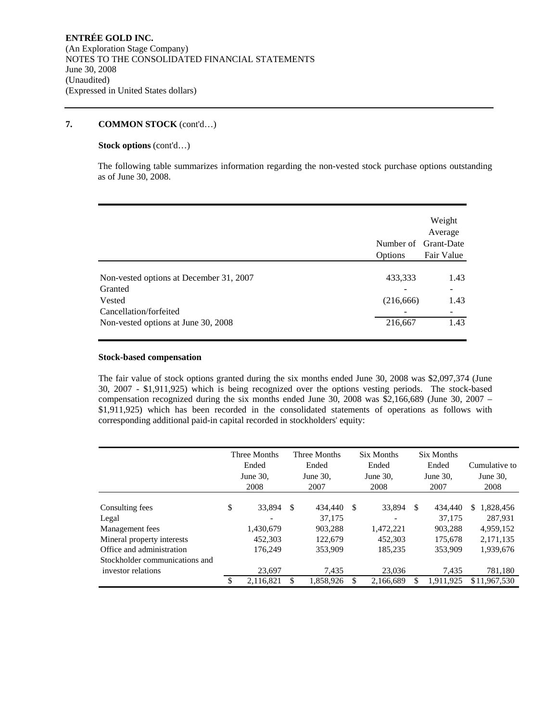## **7. COMMON STOCK** (cont'd…)

## **Stock options** (cont'd…)

The following table summarizes information regarding the non-vested stock purchase options outstanding as of June 30, 2008.

|                                                                                                                               | Number of Grant-Date<br>Options  | Weight<br>Average<br>Fair Value |
|-------------------------------------------------------------------------------------------------------------------------------|----------------------------------|---------------------------------|
| Non-vested options at December 31, 2007<br>Granted<br>Vested<br>Cancellation/forfeited<br>Non-vested options at June 30, 2008 | 433,333<br>(216, 666)<br>216,667 | 1.43<br>۰<br>1.43<br>1.43       |

#### **Stock-based compensation**

The fair value of stock options granted during the six months ended June 30, 2008 was \$2,097,374 (June 30, 2007 - \$1,911,925) which is being recognized over the options vesting periods. The stock-based compensation recognized during the six months ended June 30, 2008 was \$2,166,689 (June 30, 2007 – \$1,911,925) which has been recorded in the consolidated statements of operations as follows with corresponding additional paid-in capital recorded in stockholders' equity:

|                                                         | Three Months<br>Ended<br>June $30$ .<br>2008 |     | Three Months<br>Ended<br>June $30$ .<br>2007 |    | <b>Six Months</b><br>Ended<br>June 30,<br>2008 |    | <b>Six Months</b><br>Ended<br>June 30,<br>2007 | Cumulative to<br>June 30,<br>2008 |
|---------------------------------------------------------|----------------------------------------------|-----|----------------------------------------------|----|------------------------------------------------|----|------------------------------------------------|-----------------------------------|
| Consulting fees<br>Legal                                | \$<br>33,894                                 | S.  | 434,440<br>37,175                            | S  | 33,894                                         | S. | 434,440<br>37.175                              | 1,828,456<br>S<br>287.931         |
| Management fees                                         | 1,430,679                                    |     | 903.288                                      |    | 1,472,221                                      |    | 903,288                                        | 4,959,152                         |
| Mineral property interests<br>Office and administration | 452,303<br>176,249                           |     | 122,679<br>353,909                           |    | 452,303<br>185.235                             |    | 175,678<br>353,909                             | 2,171,135<br>1,939,676            |
| Stockholder communications and<br>investor relations    | 23.697                                       |     | 7,435                                        |    | 23,036                                         |    | 7,435                                          | 781,180                           |
|                                                         | 2,116,821                                    | \$. | 1.858.926                                    | \$ | 2,166,689                                      | \$ | 1.911.925                                      | \$11,967,530                      |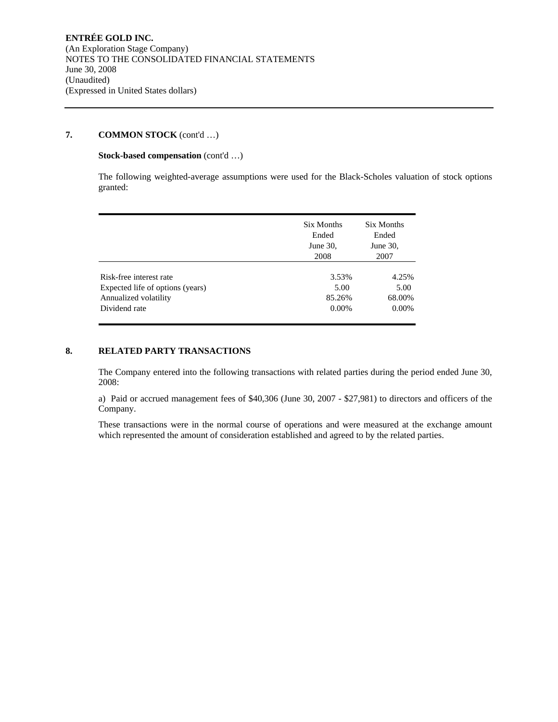## **7. COMMON STOCK** (cont'd …)

#### **Stock-based compensation** (cont'd …)

The following weighted-average assumptions were used for the Black-Scholes valuation of stock options granted:

|                                  | Six Months<br>Ended<br>June $30$ ,<br>2008 | Six Months<br>Ended<br>June $30$ ,<br>2007 |
|----------------------------------|--------------------------------------------|--------------------------------------------|
| Risk-free interest rate          | 3.53%                                      | 4.25%                                      |
| Expected life of options (years) | 5.00                                       | 5.00                                       |
| Annualized volatility            | 85.26%                                     | 68.00%                                     |
| Dividend rate                    | $0.00\%$                                   | $0.00\%$                                   |

## **8. RELATED PARTY TRANSACTIONS**

The Company entered into the following transactions with related parties during the period ended June 30, 2008:

a) Paid or accrued management fees of \$40,306 (June 30, 2007 - \$27,981) to directors and officers of the Company.

These transactions were in the normal course of operations and were measured at the exchange amount which represented the amount of consideration established and agreed to by the related parties.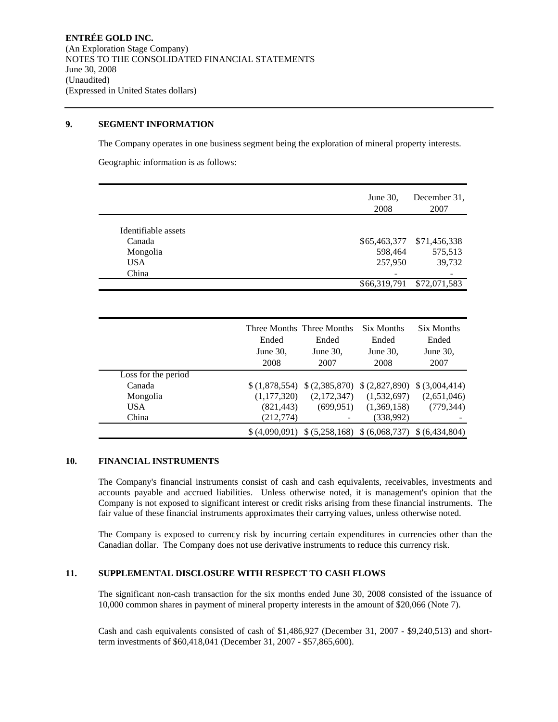#### **9. SEGMENT INFORMATION**

The Company operates in one business segment being the exploration of mineral property interests.

Geographic information is as follows:

|                     | June $30$ ,<br>2008 | December 31,<br>2007 |
|---------------------|---------------------|----------------------|
| Identifiable assets |                     |                      |
|                     |                     |                      |
| Canada              | \$65,463,377        | \$71,456,338         |
| Mongolia            | 598,464             | 575,513              |
| <b>USA</b>          | 257,950             | 39,732               |
| China               | -                   |                      |
|                     | \$66,319,791        | \$72,071,583         |

|                     | Three Months Three Months<br>Ended<br>June $30$ ,<br>2008 | Ended<br>June $30$ ,<br>2007 | Six Months<br>Ended<br>June 30,<br>2008 | Six Months<br>Ended<br>June 30,<br>2007 |
|---------------------|-----------------------------------------------------------|------------------------------|-----------------------------------------|-----------------------------------------|
| Loss for the period |                                                           |                              |                                         |                                         |
| Canada              | \$(1,878,554)                                             | \$(2,385,870)                | \$ (2,827,890)                          | \$ (3,004,414)                          |
| Mongolia            | (1,177,320)                                               | (2,172,347)                  | (1,532,697)                             | (2,651,046)                             |
| USA.                | (821, 443)                                                | (699, 951)                   | (1,369,158)                             | (779, 344)                              |
| China               | (212, 774)                                                |                              | (338,992)                               |                                         |
|                     | \$ (4.090.091)                                            |                              | $$ (5,258,168) \ $ (6,068,737)$         | \$ (6.434.804)                          |

## **10. FINANCIAL INSTRUMENTS**

The Company's financial instruments consist of cash and cash equivalents, receivables, investments and accounts payable and accrued liabilities. Unless otherwise noted, it is management's opinion that the Company is not exposed to significant interest or credit risks arising from these financial instruments. The fair value of these financial instruments approximates their carrying values, unless otherwise noted.

The Company is exposed to currency risk by incurring certain expenditures in currencies other than the Canadian dollar. The Company does not use derivative instruments to reduce this currency risk.

## **11. SUPPLEMENTAL DISCLOSURE WITH RESPECT TO CASH FLOWS**

The significant non-cash transaction for the six months ended June 30, 2008 consisted of the issuance of 10,000 common shares in payment of mineral property interests in the amount of \$20,066 (Note 7).

Cash and cash equivalents consisted of cash of \$1,486,927 (December 31, 2007 - \$9,240,513) and shortterm investments of \$60,418,041 (December 31, 2007 - \$57,865,600).